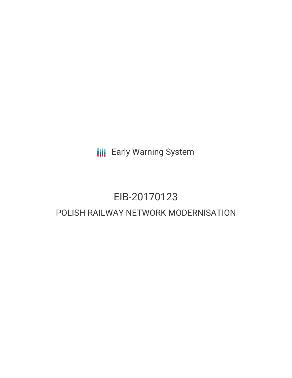**III** Early Warning System

# EIB-20170123 POLISH RAILWAY NETWORK MODERNISATION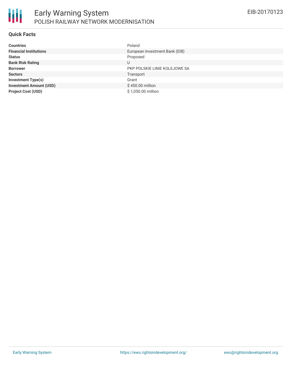

### **Quick Facts**

| <b>Countries</b>               | Poland                         |
|--------------------------------|--------------------------------|
| <b>Financial Institutions</b>  | European Investment Bank (EIB) |
| <b>Status</b>                  | Proposed                       |
| <b>Bank Risk Rating</b>        | U                              |
| <b>Borrower</b>                | PKP POLSKIE LINIE KOLEJOWE SA  |
| <b>Sectors</b>                 | Transport                      |
| <b>Investment Type(s)</b>      | Grant                          |
| <b>Investment Amount (USD)</b> | \$450.00 million               |
| <b>Project Cost (USD)</b>      | \$1,050.00 million             |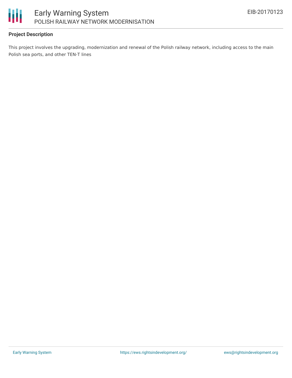

### **Project Description**

This project involves the upgrading, modernization and renewal of the Polish railway network, including access to the main Polish sea ports, and other TEN-T lines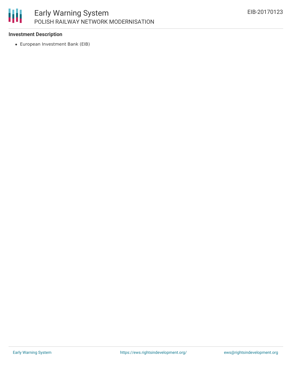# 冊

## **Investment Description**

European Investment Bank (EIB)